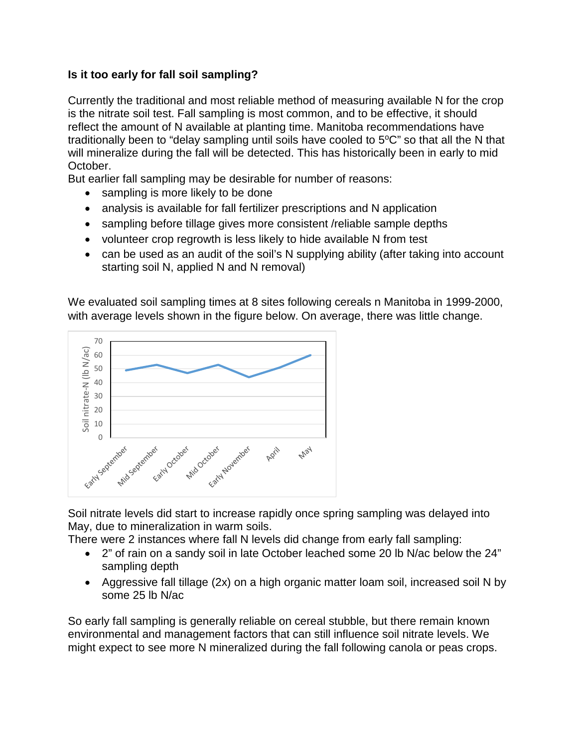## **Is it too early for fall soil sampling?**

Currently the traditional and most reliable method of measuring available N for the crop is the nitrate soil test. Fall sampling is most common, and to be effective, it should reflect the amount of N available at planting time. Manitoba recommendations have traditionally been to "delay sampling until soils have cooled to  $5^{\circ}$ C" so that all the N that will mineralize during the fall will be detected. This has historically been in early to mid October.

But earlier fall sampling may be desirable for number of reasons:

- sampling is more likely to be done
- analysis is available for fall fertilizer prescriptions and N application
- sampling before tillage gives more consistent /reliable sample depths
- volunteer crop regrowth is less likely to hide available N from test
- can be used as an audit of the soil's N supplying ability (after taking into account starting soil N, applied N and N removal)

We evaluated soil sampling times at 8 sites following cereals n Manitoba in 1999-2000, with average levels shown in the figure below. On average, there was little change.



Soil nitrate levels did start to increase rapidly once spring sampling was delayed into May, due to mineralization in warm soils.

There were 2 instances where fall N levels did change from early fall sampling:

- 2" of rain on a sandy soil in late October leached some 20 lb N/ac below the 24" sampling depth
- Aggressive fall tillage (2x) on a high organic matter loam soil, increased soil N by some 25 lb N/ac

So early fall sampling is generally reliable on cereal stubble, but there remain known environmental and management factors that can still influence soil nitrate levels. We might expect to see more N mineralized during the fall following canola or peas crops.